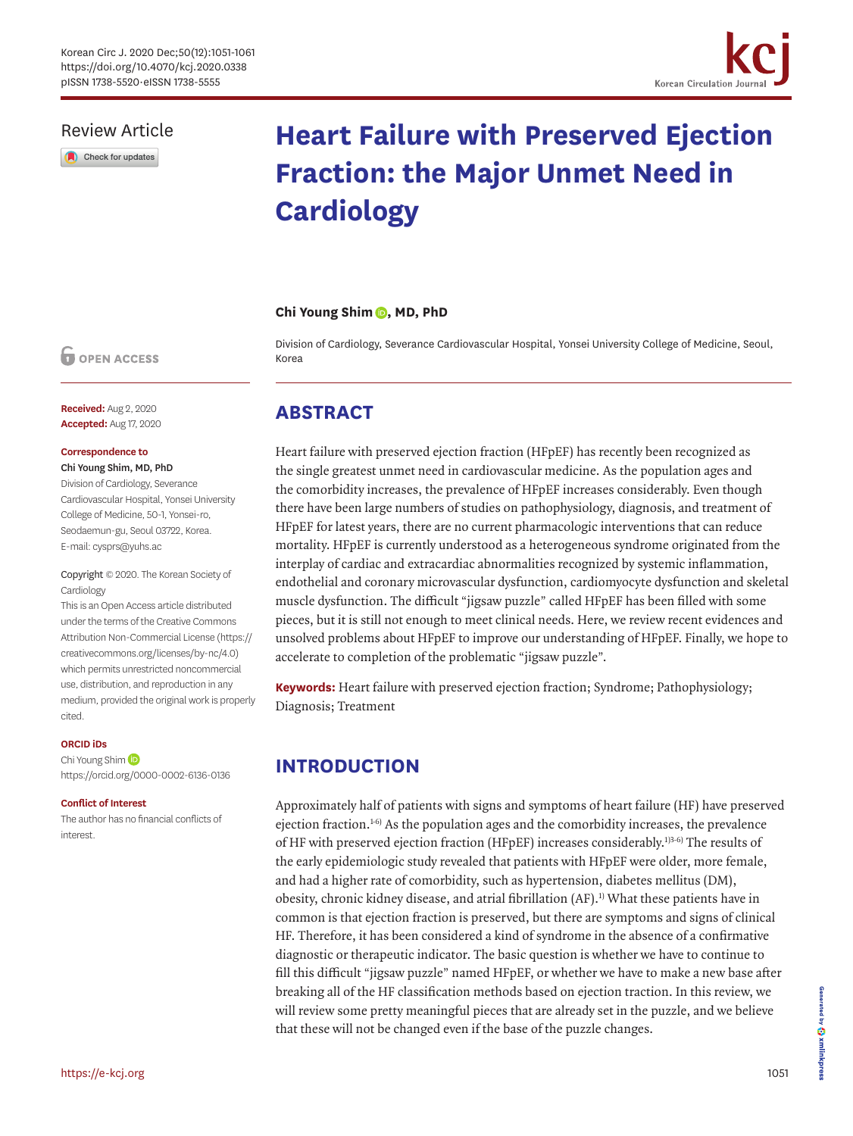

### Review Article

Check for updates

# **Heart Failure with Preserved Ejection Fraction: the Major Unmet Need in Cardiology**

#### **Chi Young Shim (D, MD, PhD**

Division of Cardiology, Severance Cardiovascular Hospital, Yonsei University College of Medicine, Seoul, Korea

### **OPEN ACCESS**

**Received:** Aug 2, 2020 **Accepted:** Aug 17, 2020

#### **Correspondence to**

Chi Young Shim, MD, PhD

Division of Cardiology, Severance Cardiovascular Hospital, Yonsei University College of Medicine, 50-1, Yonsei-ro, Seodaemun-gu, Seoul 03722, Korea. E-mail: cysprs@yuhs.ac

#### Copyright © 2020. The Korean Society of Cardiology

This is an Open Access article distributed under the terms of the Creative Commons Attribution Non-Commercial License [\(https://](https://creativecommons.org/licenses/by-nc/4.0) [creativecommons.org/licenses/by-nc/4.0](https://creativecommons.org/licenses/by-nc/4.0)) which permits unrestricted noncommercial use, distribution, and reproduction in any medium, provided the original work is properly cited.

#### **ORCID iDs**

ChiYoung Shim<sup>(D</sup> <https://orcid.org/0000-0002-6136-0136>

#### **Conflict of Interest**

The author has no financial conflicts of interest.

## **ABSTRACT**

Heart failure with preserved ejection fraction (HFpEF) has recently been recognized as the single greatest unmet need in cardiovascular medicine. As the population ages and the comorbidity increases, the prevalence of HFpEF increases considerably. Even though there have been large numbers of studies on pathophysiology, diagnosis, and treatment of HFpEF for latest years, there are no current pharmacologic interventions that can reduce mortality. HFpEF is currently understood as a heterogeneous syndrome originated from the interplay of cardiac and extracardiac abnormalities recognized by systemic inflammation, endothelial and coronary microvascular dysfunction, cardiomyocyte dysfunction and skeletal muscle dysfunction. The difficult "jigsaw puzzle" called HFpEF has been filled with some pieces, but it is still not enough to meet clinical needs. Here, we review recent evidences and unsolved problems about HFpEF to improve our understanding of HFpEF. Finally, we hope to accelerate to completion of the problematic "jigsaw puzzle".

**Keywords:** Heart failure with preserved ejection fraction; Syndrome; Pathophysiology; Diagnosis; Treatment

# **INTRODUCTION**

<span id="page-0-1"></span><span id="page-0-0"></span>Approximately half of patients with signs and symptoms of heart failure (HF) have preserved ejection fraction.<sup>[1](#page-7-0)-6)</sup> As the population ages and the comorbidity increases, the prevalence of HF with preserved ejection fraction (HFpEF) increases considerably[.1\)](#page-7-0)[3-](#page-7-2)[6\)](#page-7-1) The results of the early epidemiologic study revealed that patients with HFpEF were older, more female, and had a higher rate of comorbidity, such as hypertension, diabetes mellitus (DM), obesity, chronic kidney disease, and atrial fibrillation (AF).<sup>1)</sup> What these patients have in common is that ejection fraction is preserved, but there are symptoms and signs of clinical HF. Therefore, it has been considered a kind of syndrome in the absence of a confirmative diagnostic or therapeutic indicator. The basic question is whether we have to continue to fill this difficult "jigsaw puzzle" named HFpEF, or whether we have to make a new base after breaking all of the HF classification methods based on ejection traction. In this review, we will review some pretty meaningful pieces that are already set in the puzzle, and we believe that these will not be changed even if the base of the puzzle changes.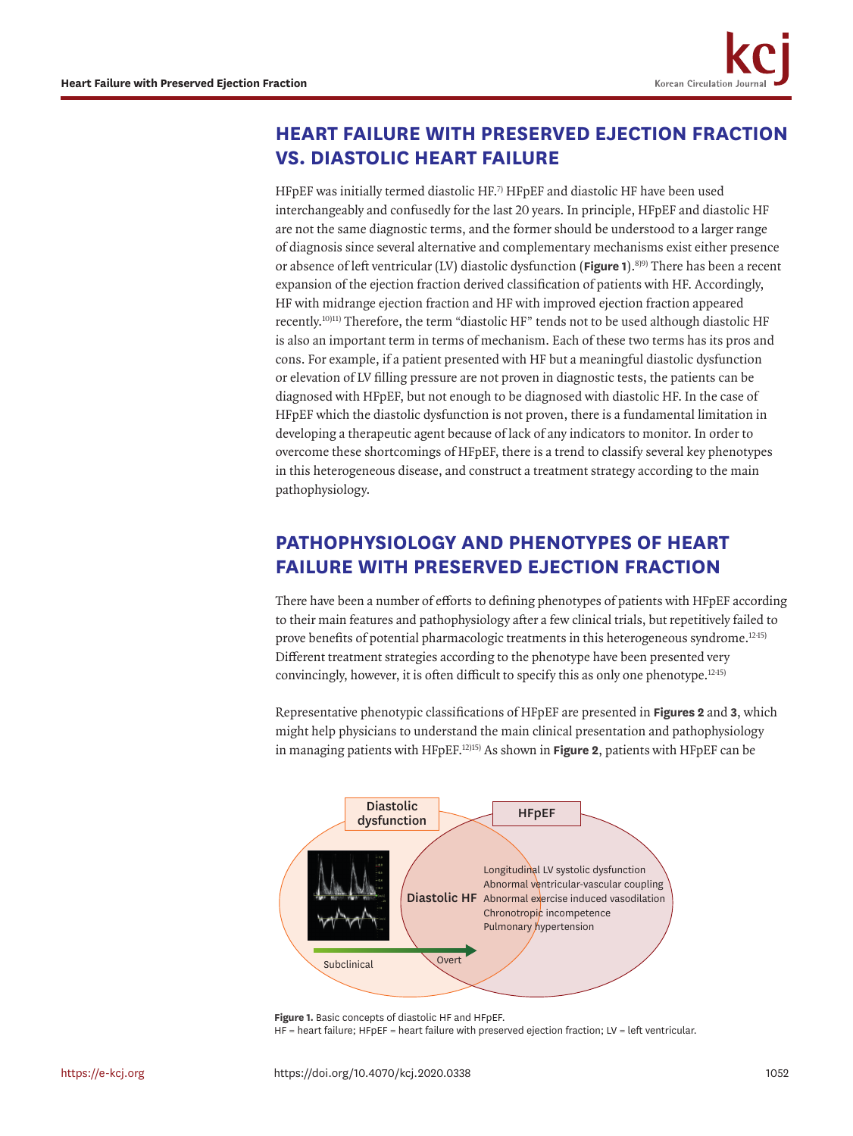<span id="page-1-2"></span><span id="page-1-1"></span>

## **HEART FAILURE WITH PRESERVED EJECTION FRACTION VS. DIASTOLIC HEART FAILURE**

<span id="page-1-3"></span>HFpEF was initially termed diastolic HF.<sup>7)</sup> HFpEF and diastolic HF have been used interchangeably and confusedly for the last 20 years. In principle, HFpEF and diastolic HF are not the same diagnostic terms, and the former should be understood to a larger range of diagnosis since several alternative and complementary mechanisms exist either presence or absence of left ventricular (LV) diastolic dysfunction (**[Figure 1](#page-1-0)**).[8\)](#page-7-4)[9\)](#page-7-5) There has been a recent expansion of the ejection fraction derived classification of patients with HF. Accordingly, HF with midrange ejection fraction and HF with improved ejection fraction appeared recently.<sup>10)[11\)](#page-7-7)</sup> Therefore, the term "diastolic HF" tends not to be used although diastolic HF is also an important term in terms of mechanism. Each of these two terms has its pros and cons. For example, if a patient presented with HF but a meaningful diastolic dysfunction or elevation of LV filling pressure are not proven in diagnostic tests, the patients can be diagnosed with HFpEF, but not enough to be diagnosed with diastolic HF. In the case of HFpEF which the diastolic dysfunction is not proven, there is a fundamental limitation in developing a therapeutic agent because of lack of any indicators to monitor. In order to overcome these shortcomings of HFpEF, there is a trend to classify several key phenotypes in this heterogeneous disease, and construct a treatment strategy according to the main pathophysiology.

# **PATHOPHYSIOLOGY AND PHENOTYPES OF HEART FAILURE WITH PRESERVED EJECTION FRACTION**

There have been a number of efforts to defining phenotypes of patients with HFpEF according to their main features and pathophysiology after a few clinical trials, but repetitively failed to prove benefits of potential pharmacologic treatments in this heterogeneous syndrome.<sup>1245)</sup> Different treatment strategies according to the phenotype have been presented very convincingly, however, it is often difficult to specify this as only one phenotype.<sup>[12](#page-7-8)45)</sup>

Representative phenotypic classifications of HFpEF are presented in **[Figures 2](#page-2-0)** and **[3](#page-3-0)**, which might help physicians to understand the main clinical presentation and pathophysiology in managing patients with HFpEF.[12\)](#page-7-8)[15\)](#page-8-0) As shown in **[Figure 2](#page-2-0)**, patients with HFpEF can be



<span id="page-1-0"></span>**Figure 1.** Basic concepts of diastolic HF and HFpEF.

HF = heart failure; HFpEF = heart failure with preserved ejection fraction; LV = left ventricular.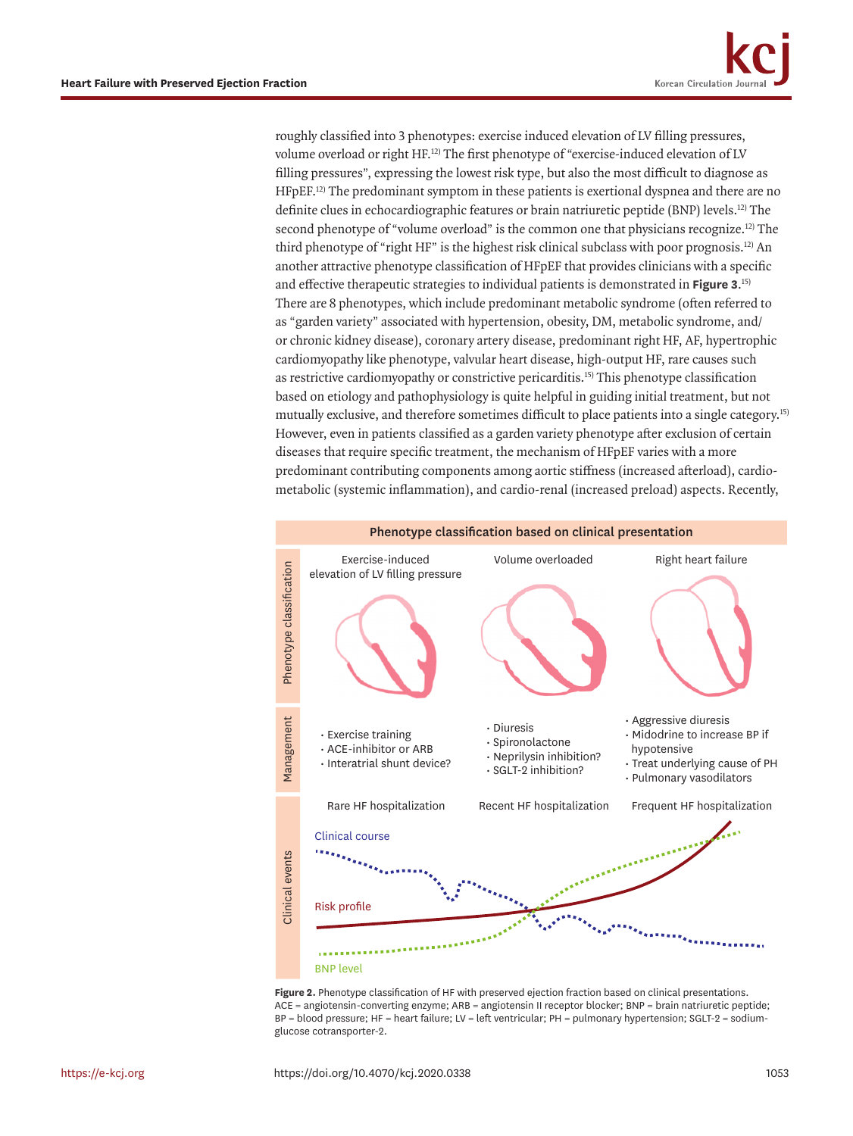roughly classified into 3 phenotypes: exercise induced elevation of LV filling pressures, volume overload or right HF.<sup>12)</sup> The first phenotype of "exercise-induced elevation of LV filling pressures", expressing the lowest risk type, but also the most difficult to diagnose as HFpEF.[12\)](#page-7-8) The predominant symptom in these patients is exertional dyspnea and there are no definite clues in echocardiographic features or brain natriuretic peptide (BNP) levels.<sup>12)</sup> The second phenotype of "volume overload" is the common one that physicians recognize.<sup>12</sup> The third phenotype of "right HF" is the highest risk clinical subclass with poor prognosis.<sup>12</sup> An another attractive phenotype classification of HFpEF that provides clinicians with a specific and effective therapeutic strategies to individual patients is demonstrated in **[Figure 3](#page-3-0)**. [15\)](#page-8-0) There are 8 phenotypes, which include predominant metabolic syndrome (often referred to as "garden variety" associated with hypertension, obesity, DM, metabolic syndrome, and/ or chronic kidney disease), coronary artery disease, predominant right HF, AF, hypertrophic cardiomyopathy like phenotype, valvular heart disease, high-output HF, rare causes such as restrictive cardiomyopathy or constrictive pericarditis[.15\)](#page-8-0) This phenotype classification based on etiology and pathophysiology is quite helpful in guiding initial treatment, but not mutually exclusive, and therefore sometimes difficult to place patients into a single category.[15\)](#page-8-0) However, even in patients classified as a garden variety phenotype after exclusion of certain diseases that require specific treatment, the mechanism of HFpEF varies with a more predominant contributing components among aortic stiffness (increased afterload), cardiometabolic (systemic inflammation), and cardio-renal (increased preload) aspects. Recently,

<span id="page-2-1"></span>

<span id="page-2-0"></span>**Figure 2.** Phenotype classification of HF with preserved ejection fraction based on clinical presentations. ACE = angiotensin-converting enzyme; ARB = angiotensin II receptor blocker; BNP = brain natriuretic peptide; BP = blood pressure; HF = heart failure; LV = left ventricular; PH = pulmonary hypertension; SGLT-2 = sodiumglucose cotransporter-2.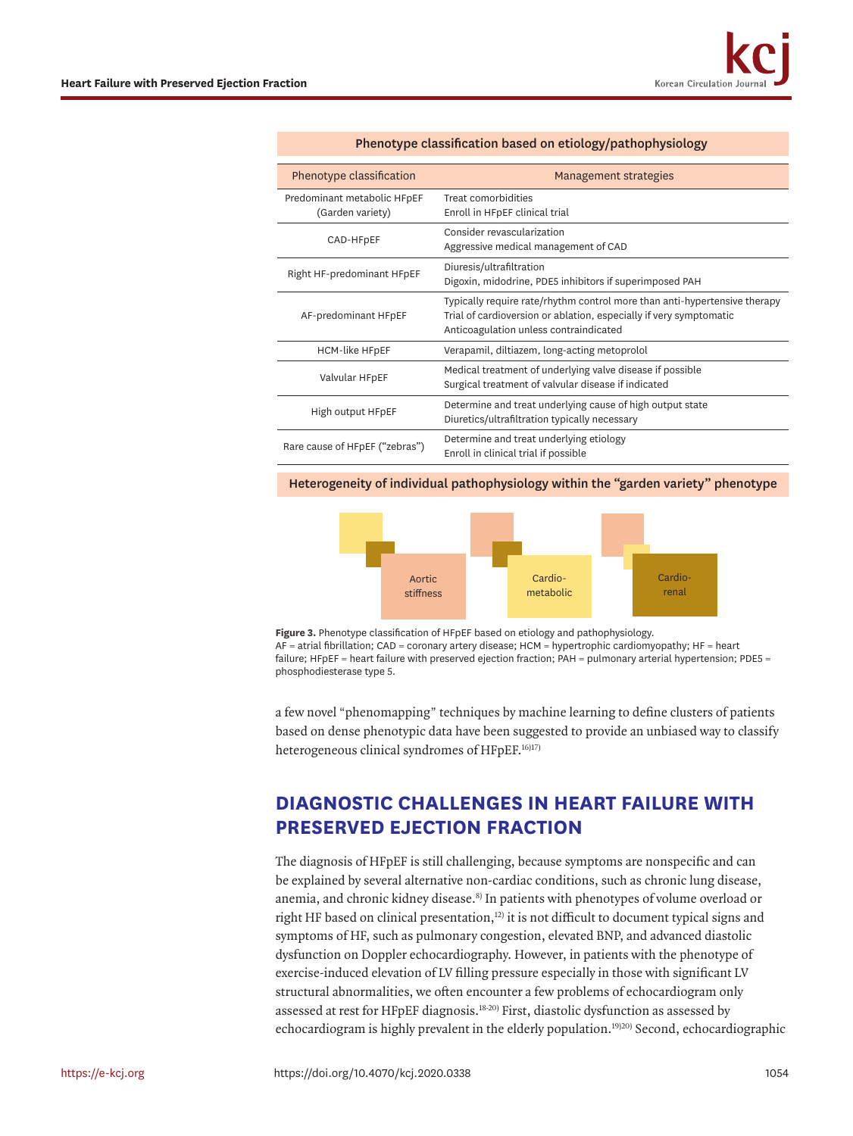| Phenotype classification                        | Management strategies                                                                                                                                                                     |
|-------------------------------------------------|-------------------------------------------------------------------------------------------------------------------------------------------------------------------------------------------|
| Predominant metabolic HFpEF<br>(Garden variety) | Treat comorbidities<br>Enroll in HFpEF clinical trial                                                                                                                                     |
| CAD-HFpEF                                       | Consider revascularization<br>Aggressive medical management of CAD                                                                                                                        |
| Right HF-predominant HFpEF                      | Diuresis/ultrafiltration<br>Digoxin, midodrine, PDE5 inhibitors if superimposed PAH                                                                                                       |
| AF-predominant HFpEF                            | Typically require rate/rhythm control more than anti-hypertensive therapy<br>Trial of cardioversion or ablation, especially if very symptomatic<br>Anticoagulation unless contraindicated |
| <b>HCM-like HFpEF</b>                           | Verapamil, diltiazem, long-acting metoprolol                                                                                                                                              |
| Valvular HFpEF                                  | Medical treatment of underlying valve disease if possible<br>Surgical treatment of valvular disease if indicated                                                                          |
| High output HFpEF                               | Determine and treat underlying cause of high output state<br>Diuretics/ultrafiltration typically necessary                                                                                |
| Rare cause of HFpEF ("zebras")                  | Determine and treat underlying etiology<br>Enroll in clinical trial if possible                                                                                                           |

#### Phenotype classification based on etiology/pathophysiology

Heterogeneity of individual pathophysiology within the "garden variety" phenotype



<span id="page-3-0"></span>**Figure 3.** Phenotype classification of HFpEF based on etiology and pathophysiology. AF = atrial fibrillation; CAD = coronary artery disease; HCM = hypertrophic cardiomyopathy; HF = heart failure; HFpEF = heart failure with preserved ejection fraction; PAH = pulmonary arterial hypertension; PDE5 = phosphodiesterase type 5.

<span id="page-3-3"></span>a few novel "phenomapping" techniques by machine learning to define clusters of patients based on dense phenotypic data have been suggested to provide an unbiased way to classify heterogeneous clinical syndromes of HFpEF.<sup>16)[17\)](#page-8-2)</sup>

### **DIAGNOSTIC CHALLENGES IN HEART FAILURE WITH PRESERVED EJECTION FRACTION**

<span id="page-3-2"></span><span id="page-3-1"></span>The diagnosis of HFpEF is still challenging, because symptoms are nonspecific and can be explained by several alternative non-cardiac conditions, such as chronic lung disease, anemia, and chronic kidney disease.<sup>8)</sup> In patients with phenotypes of volume overload or right HF based on clinical presentation, $12$ ) it is not difficult to document typical signs and symptoms of HF, such as pulmonary congestion, elevated BNP, and advanced diastolic dysfunction on Doppler echocardiography. However, in patients with the phenotype of exercise-induced elevation of LV filling pressure especially in those with significant LV structural abnormalities, we often encounter a few problems of echocardiogram only assessed at rest for HFpEF diagnosis.<sup>[18-](#page-8-3)20)</sup> First, diastolic dysfunction as assessed by echocardiogram is highly prevalent in the elderly population.<sup>19)20)</sup> Second, echocardiographic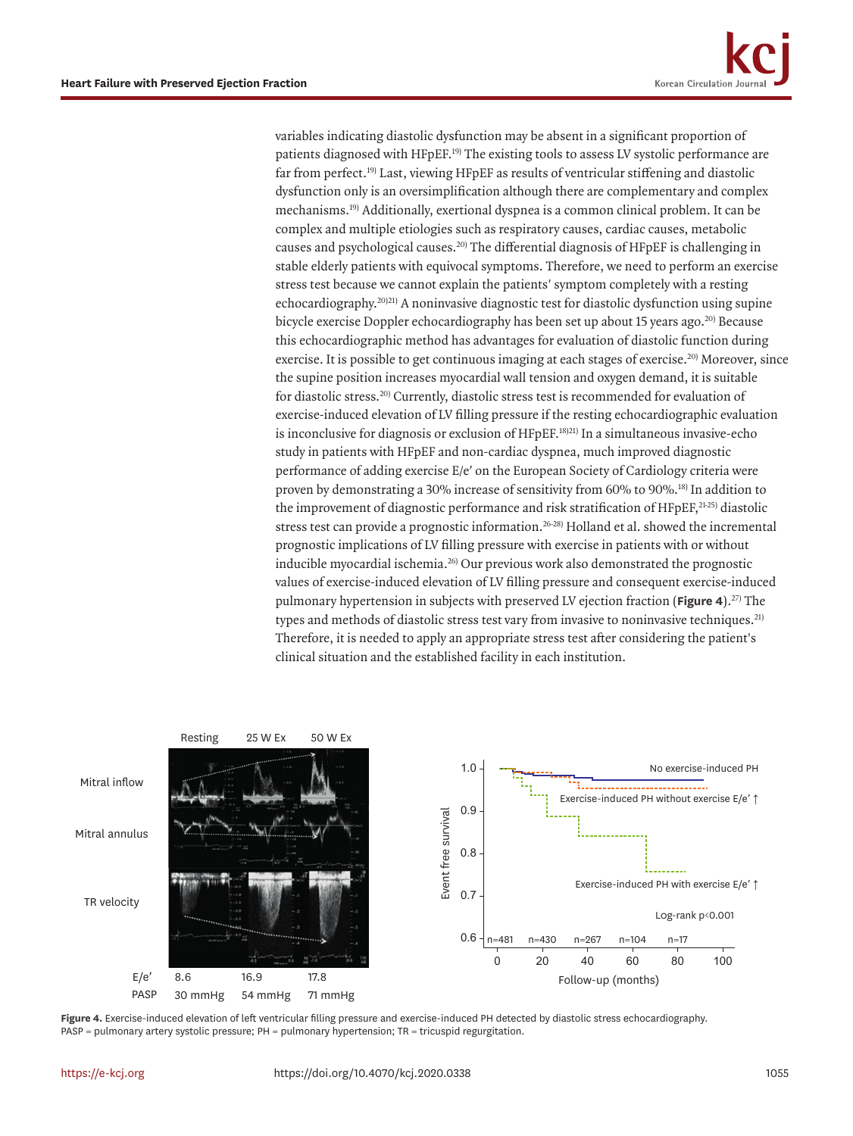<span id="page-4-7"></span><span id="page-4-6"></span><span id="page-4-5"></span><span id="page-4-4"></span><span id="page-4-3"></span><span id="page-4-2"></span><span id="page-4-1"></span>variables indicating diastolic dysfunction may be absent in a significant proportion of patients diagnosed with HFpEF.<sup>[19\)](#page-8-5)</sup> The existing tools to assess LV systolic performance are far from perfect.<sup>19)</sup> Last, viewing HFpEF as results of ventricular stiffening and diastolic dysfunction only is an oversimplification although there are complementary and complex mechanisms[.19\)](#page-8-5) Additionally, exertional dyspnea is a common clinical problem. It can be complex and multiple etiologies such as respiratory causes, cardiac causes, metabolic causes and psychological causes.[20\)](#page-8-4) The differential diagnosis of HFpEF is challenging in stable elderly patients with equivocal symptoms. Therefore, we need to perform an exercise stress test because we cannot explain the patients' symptom completely with a resting echocardiography.[20\)](#page-8-4)[21\)](#page-8-6) A noninvasive diagnostic test for diastolic dysfunction using supine bicycle exercise Doppler echocardiography has been set up about 15 years ago.<sup>20)</sup> Because this echocardiographic method has advantages for evaluation of diastolic function during exercise. It is possible to get continuous imaging at each stages of exercise.<sup>20)</sup> Moreover, since the supine position increases myocardial wall tension and oxygen demand, it is suitable for diastolic stress.<sup>20)</sup> Currently, diastolic stress test is recommended for evaluation of exercise-induced elevation of LV filling pressure if the resting echocardiographic evaluation is inconclusive for diagnosis or exclusion of HFpEF.<sup>[18\)](#page-8-3)[21\)](#page-8-6)</sup> In a simultaneous invasive-echo study in patients with HFpEF and non-cardiac dyspnea, much improved diagnostic performance of adding exercise E/e′ on the European Society of Cardiology criteria were proven by demonstrating a 30% increase of sensitivity from 60% to 90%.[18\)](#page-8-3) In addition to the improvement of diagnostic performance and risk stratification of HFpEF,<sup>21[-25\)](#page-8-7)</sup> diastolic stress test can provide a prognostic information.<sup>26[-28\)](#page-8-9)</sup> Holland et al. showed the incremental prognostic implications of LV filling pressure with exercise in patients with or without inducible myocardial ischemia.[26\)](#page-8-8) Our previous work also demonstrated the prognostic values of exercise-induced elevation of LV filling pressure and consequent exercise-induced pulmonary hypertension in subjects with preserved LV ejection fraction (**[Figure 4](#page-4-0)**).[27\)](#page-8-10) The types and methods of diastolic stress test vary from invasive to noninvasive techniques.<sup>[21\)](#page-8-6)</sup> Therefore, it is needed to apply an appropriate stress test after considering the patient's clinical situation and the established facility in each institution.



<span id="page-4-0"></span>**Figure 4.** Exercise-induced elevation of left ventricular filling pressure and exercise-induced PH detected by diastolic stress echocardiography. PASP = pulmonary artery systolic pressure; PH = pulmonary hypertension; TR = tricuspid regurgitation.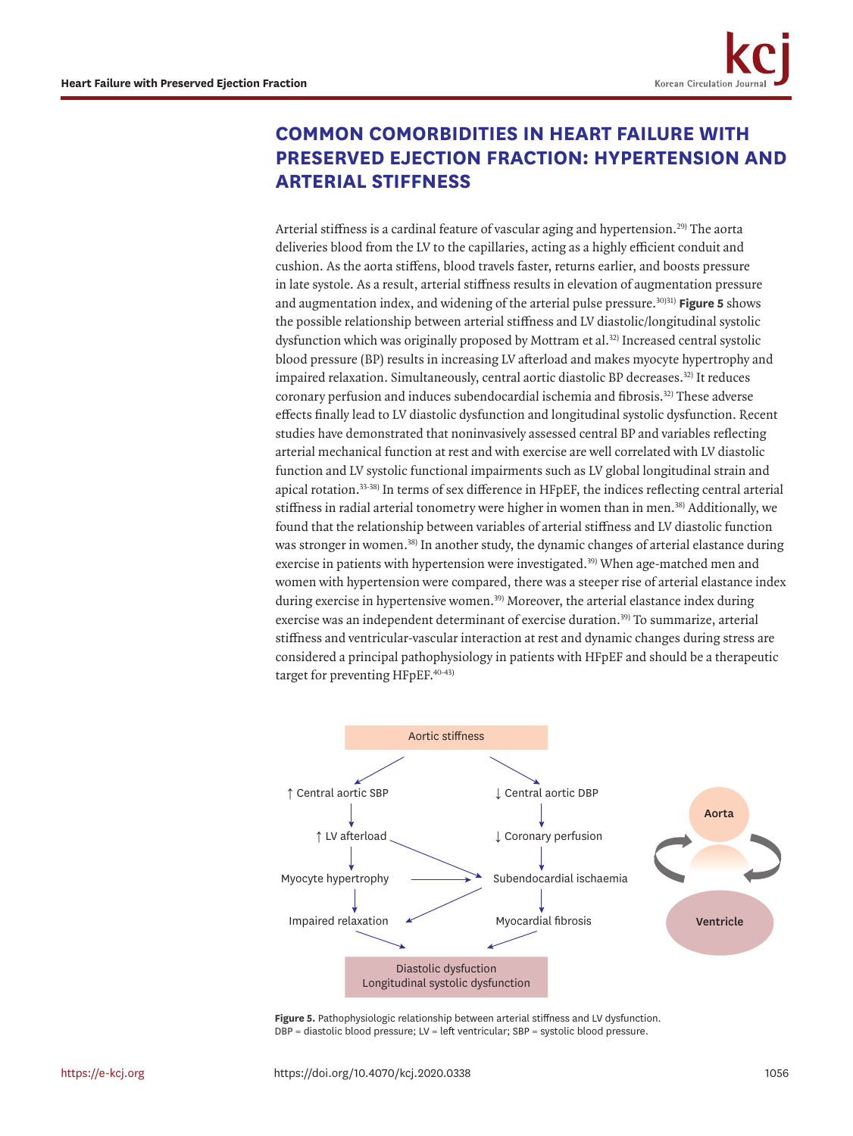# **COMMON COMORBIDITIES IN HEART FAILURE WITH PRESERVED EJECTION FRACTION: HYPERTENSION AND ARTERIAL STIFFNESS**

<span id="page-5-3"></span><span id="page-5-2"></span><span id="page-5-1"></span>Arterial stiffness is a cardinal feature of vascular aging and hypertension.<sup>[29\)](#page-8-11)</sup> The aorta deliveries blood from the LV to the capillaries, acting as a highly efficient conduit and cushion. As the aorta stiffens, blood travels faster, returns earlier, and boosts pressure in late systole. As a result, arterial stiffness results in elevation of augmentation pressure and augmentation index, and widening of the arterial pulse pressure[.30\)](#page-8-12)[31\)](#page-8-13) **[Figure 5](#page-5-0)** shows the possible relationship between arterial stiffness and LV diastolic/longitudinal systolic dysfunction which was originally proposed by Mottram et al.[32\)](#page-9-0) Increased central systolic blood pressure (BP) results in increasing LV afterload and makes myocyte hypertrophy and impaired relaxation. Simultaneously, central aortic diastolic BP decreases.<sup>32)</sup> It reduces coronary perfusion and induces subendocardial ischemia and fibrosis[.32\)](#page-9-0) These adverse effects finally lead to LV diastolic dysfunction and longitudinal systolic dysfunction. Recent studies have demonstrated that noninvasively assessed central BP and variables reflecting arterial mechanical function at rest and with exercise are well correlated with LV diastolic function and LV systolic functional impairments such as LV global longitudinal strain and apical rotation[.33](#page-9-1)[-38\)](#page-9-2) In terms of sex difference in HFpEF, the indices reflecting central arterial stiffness in radial arterial tonometry were higher in women than in men.[38\)](#page-9-2) Additionally, we found that the relationship between variables of arterial stiffness and LV diastolic function was stronger in women.[38\)](#page-9-2) In another study, the dynamic changes of arterial elastance during exercise in patients with hypertension were investigated.<sup>39)</sup> When age-matched men and women with hypertension were compared, there was a steeper rise of arterial elastance index during exercise in hypertensive women.<sup>39)</sup> Moreover, the arterial elastance index during exercise was an independent determinant of exercise duration.<sup>39)</sup> To summarize, arterial stiffness and ventricular-vascular interaction at rest and dynamic changes during stress are considered a principal pathophysiology in patients with HFpEF and should be a therapeutic target for preventing HFpEF.[40](#page-9-4)[-43\)](#page-9-5)

<span id="page-5-7"></span><span id="page-5-6"></span><span id="page-5-5"></span><span id="page-5-4"></span>

<span id="page-5-0"></span>**Figure 5.** Pathophysiologic relationship between arterial stiffness and LV dysfunction. DBP = diastolic blood pressure; LV = left ventricular; SBP = systolic blood pressure.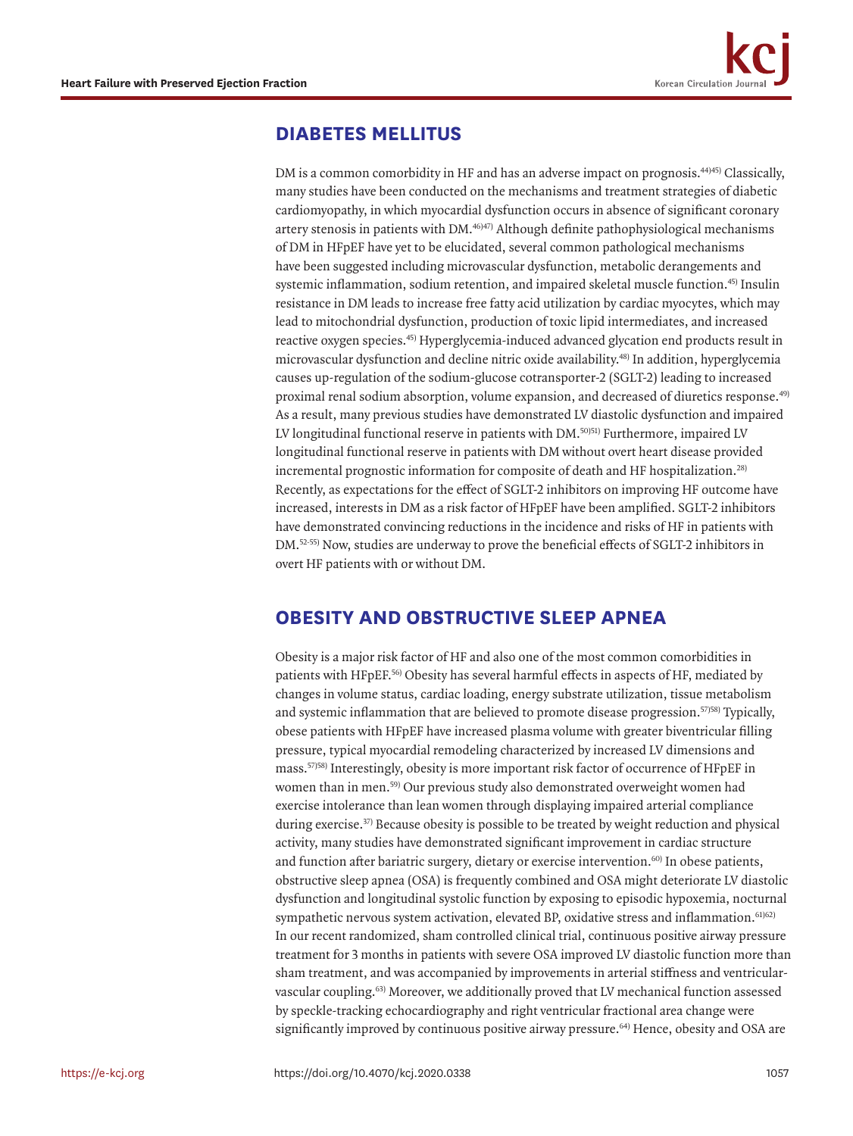### **DIABETES MELLITUS**

<span id="page-6-6"></span><span id="page-6-5"></span><span id="page-6-4"></span><span id="page-6-3"></span><span id="page-6-2"></span>DM is a common comorbidity in HF and has an adverse impact on prognosis.<sup>44)45</sup> Classically, many studies have been conducted on the mechanisms and treatment strategies of diabetic cardiomyopathy, in which myocardial dysfunction occurs in absence of significant coronary artery stenosis in patients with DM.<sup>46)47)</sup> Although definite pathophysiological mechanisms of DM in HFpEF have yet to be elucidated, several common pathological mechanisms have been suggested including microvascular dysfunction, metabolic derangements and systemic inflammation, sodium retention, and impaired skeletal muscle function.<sup>45)</sup> Insulin resistance in DM leads to increase free fatty acid utilization by cardiac myocytes, which may lead to mitochondrial dysfunction, production of toxic lipid intermediates, and increased reactive oxygen species.[45\)](#page-9-7) Hyperglycemia-induced advanced glycation end products result in microvascular dysfunction and decline nitric oxide availability.[48\)](#page-9-10) In addition, hyperglycemia causes up-regulation of the sodium-glucose cotransporter-2 (SGLT-2) leading to increased proximal renal sodium absorption, volume expansion, and decreased of diuretics response[.49\)](#page-9-11) As a result, many previous studies have demonstrated LV diastolic dysfunction and impaired LV longitudinal functional reserve in patients with DM.<sup>50)[51\)](#page-10-0)</sup> Furthermore, impaired LV longitudinal functional reserve in patients with DM without overt heart disease provided incremental prognostic information for composite of death and HF hospitalization.[28\)](#page-8-9) Recently, as expectations for the effect of SGLT-2 inhibitors on improving HF outcome have increased, interests in DM as a risk factor of HFpEF have been amplified. SGLT-2 inhibitors have demonstrated convincing reductions in the incidence and risks of HF in patients with DM[.52-](#page-10-1)[55\)](#page-10-2) Now, studies are underway to prove the beneficial effects of SGLT-2 inhibitors in overt HF patients with or without DM.

### <span id="page-6-8"></span><span id="page-6-7"></span><span id="page-6-0"></span>**OBESITY AND OBSTRUCTIVE SLEEP APNEA**

<span id="page-6-15"></span><span id="page-6-14"></span><span id="page-6-13"></span><span id="page-6-12"></span><span id="page-6-11"></span><span id="page-6-10"></span><span id="page-6-9"></span><span id="page-6-1"></span>Obesity is a major risk factor of HF and also one of the most common comorbidities in patients with HFpEF.[56\)](#page-10-3) Obesity has several harmful effects in aspects of HF, mediated by changes in volume status, cardiac loading, energy substrate utilization, tissue metabolism and systemic inflammation that are believed to promote disease progression.<sup>57)[58\)](#page-10-5)</sup> Typically, obese patients with HFpEF have increased plasma volume with greater biventricular filling pressure, typical myocardial remodeling characterized by increased LV dimensions and mass.[57\)](#page-10-4)[58\)](#page-10-5) Interestingly, obesity is more important risk factor of occurrence of HFpEF in women than in men.[59\)](#page-10-6) Our previous study also demonstrated overweight women had exercise intolerance than lean women through displaying impaired arterial compliance during exercise.<sup>37</sup>) Because obesity is possible to be treated by weight reduction and physical activity, many studies have demonstrated significant improvement in cardiac structure and function after bariatric surgery, dietary or exercise intervention.<sup>60)</sup> In obese patients, obstructive sleep apnea (OSA) is frequently combined and OSA might deteriorate LV diastolic dysfunction and longitudinal systolic function by exposing to episodic hypoxemia, nocturnal sympathetic nervous system activation, elevated BP, oxidative stress and inflammation.<sup>[61\)](#page-10-8)[62\)](#page-10-9)</sup> In our recent randomized, sham controlled clinical trial, continuous positive airway pressure treatment for 3 months in patients with severe OSA improved LV diastolic function more than sham treatment, and was accompanied by improvements in arterial stiffness and ventricularvascular coupling[.63\)](#page-10-10) Moreover, we additionally proved that LV mechanical function assessed by speckle-tracking echocardiography and right ventricular fractional area change were significantly improved by continuous positive airway pressure.<sup>[64\)](#page-10-11)</sup> Hence, obesity and OSA are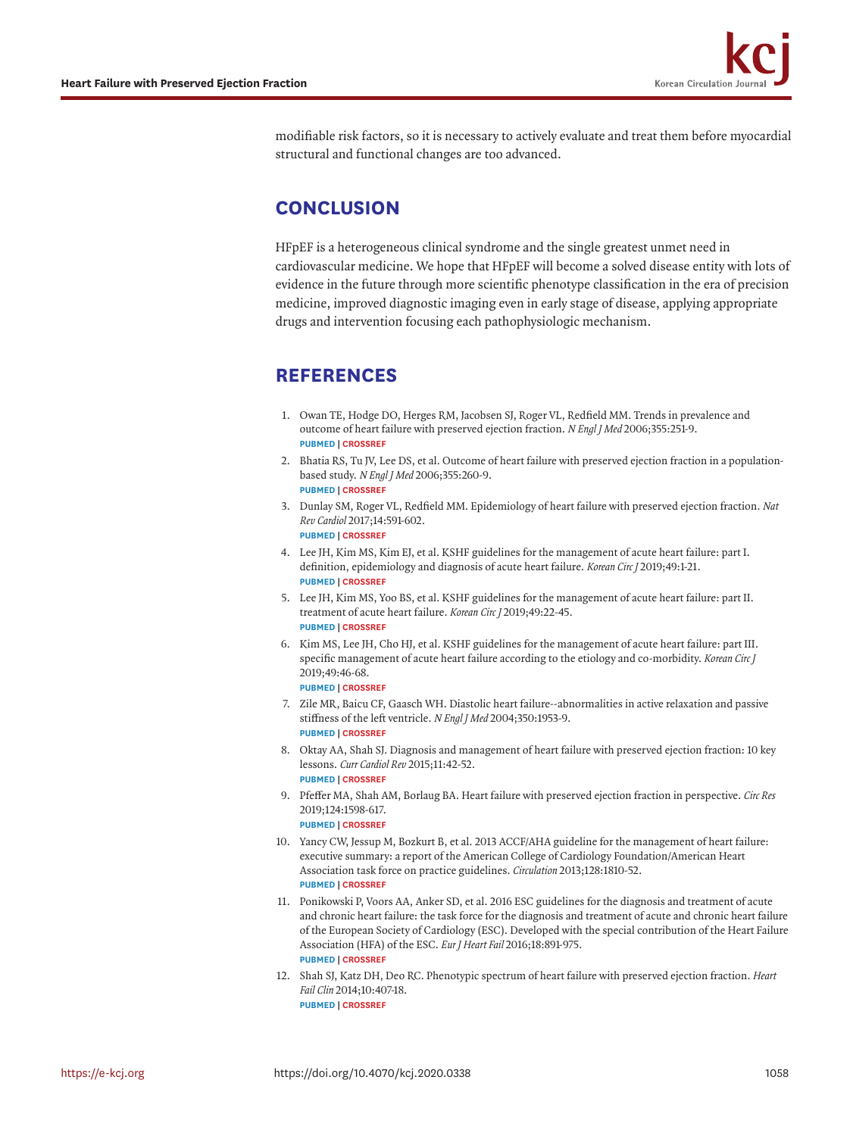modifiable risk factors, so it is necessary to actively evaluate and treat them before myocardial structural and functional changes are too advanced.

### **CONCLUSION**

HFpEF is a heterogeneous clinical syndrome and the single greatest unmet need in cardiovascular medicine. We hope that HFpEF will become a solved disease entity with lots of evidence in the future through more scientific phenotype classification in the era of precision medicine, improved diagnostic imaging even in early stage of disease, applying appropriate drugs and intervention focusing each pathophysiologic mechanism.

### **REFERENCES**

- <span id="page-7-0"></span>[1.](#page-0-0) Owan TE, Hodge DO, Herges RM, Jacobsen SJ, Roger VL, Redfield MM. Trends in prevalence and outcome of heart failure with preserved ejection fraction. *N Engl J Med* 2006;355:251-9. **[PUBMED](http://www.ncbi.nlm.nih.gov/pubmed/16855265) | [CROSSREF](https://doi.org/10.1056/NEJMoa052256)**
- 2. Bhatia RS, Tu JV, Lee DS, et al. Outcome of heart failure with preserved ejection fraction in a populationbased study. *N Engl J Med* 2006;355:260-9. **[PUBMED](http://www.ncbi.nlm.nih.gov/pubmed/16855266) | [CROSSREF](https://doi.org/10.1056/NEJMoa051530)**
	-
- <span id="page-7-2"></span>[3.](#page-0-1) Dunlay SM, Roger VL, Redfield MM. Epidemiology of heart failure with preserved ejection fraction. *Nat Rev Cardiol* 2017;14:591-602. **[PUBMED](http://www.ncbi.nlm.nih.gov/pubmed/28492288) | [CROSSREF](https://doi.org/10.1038/nrcardio.2017.65)**
- 4. Lee JH, Kim MS, Kim EJ, et al. KSHF guidelines for the management of acute heart failure: part I. definition, epidemiology and diagnosis of acute heart failure. *Korean Circ J* 2019;49:1-21. **[PUBMED](http://www.ncbi.nlm.nih.gov/pubmed/30637993) | [CROSSREF](https://doi.org/10.4070/kcj.2018.0373)**
- 5. Lee JH, Kim MS, Yoo BS, et al. KSHF guidelines for the management of acute heart failure: part II. treatment of acute heart failure. *Korean Circ J* 2019;49:22-45. **[PUBMED](http://www.ncbi.nlm.nih.gov/pubmed/30637994) | [CROSSREF](https://doi.org/10.4070/kcj.2018.0349)**
- <span id="page-7-1"></span>[6.](#page-0-1) Kim MS, Lee JH, Cho HJ, et al. KSHF guidelines for the management of acute heart failure: part III. specific management of acute heart failure according to the etiology and co-morbidity. *Korean Circ J* 2019;49:46-68. **[PUBMED](http://www.ncbi.nlm.nih.gov/pubmed/30637995) | [CROSSREF](https://doi.org/10.4070/kcj.2018.0351)**
- <span id="page-7-3"></span>[7.](#page-1-1) Zile MR, Baicu CF, Gaasch WH. Diastolic heart failure--abnormalities in active relaxation and passive stiffness of the left ventricle. *N Engl J Med* 2004;350:1953-9. **[PUBMED](http://www.ncbi.nlm.nih.gov/pubmed/15128895) | [CROSSREF](https://doi.org/10.1056/NEJMoa032566)**
- <span id="page-7-4"></span>[8.](#page-3-1) Oktay AA, Shah SJ. Diagnosis and management of heart failure with preserved ejection fraction: 10 key lessons. *Curr Cardiol Rev* 2015;11:42-52. **[PUBMED](http://www.ncbi.nlm.nih.gov/pubmed/24251461) | [CROSSREF](https://doi.org/10.2174/1573403X09666131117131217)**
- <span id="page-7-5"></span>[9.](#page-1-2) Pfeffer MA, Shah AM, Borlaug BA. Heart failure with preserved ejection fraction in perspective. *Circ Res* 2019;124:1598-617.

- <span id="page-7-6"></span>[10.](#page-1-3) Yancy CW, Jessup M, Bozkurt B, et al. 2013 ACCF/AHA guideline for the management of heart failure: executive summary: a report of the American College of Cardiology Foundation/American Heart Association task force on practice guidelines. *Circulation* 2013;128:1810-52. **[PUBMED](http://www.ncbi.nlm.nih.gov/pubmed/23741057) | [CROSSREF](https://doi.org/10.1161/CIR.0b013e31829e8807)**
- <span id="page-7-7"></span>[11.](#page-1-3) Ponikowski P, Voors AA, Anker SD, et al. 2016 ESC guidelines for the diagnosis and treatment of acute and chronic heart failure: the task force for the diagnosis and treatment of acute and chronic heart failure of the European Society of Cardiology (ESC). Developed with the special contribution of the Heart Failure Association (HFA) of the ESC. *Eur J Heart Fail* 2016;18:891-975. **[PUBMED](http://www.ncbi.nlm.nih.gov/pubmed/27207191) | [CROSSREF](https://doi.org/10.1002/ejhf.592)**
- <span id="page-7-8"></span>[12.](#page-3-2) Shah SJ, Katz DH, Deo RC. Phenotypic spectrum of heart failure with preserved ejection fraction. *Heart Fail Clin* 2014;10:407-18. **[PUBMED](http://www.ncbi.nlm.nih.gov/pubmed/24975905) | [CROSSREF](https://doi.org/10.1016/j.hfc.2014.04.008)**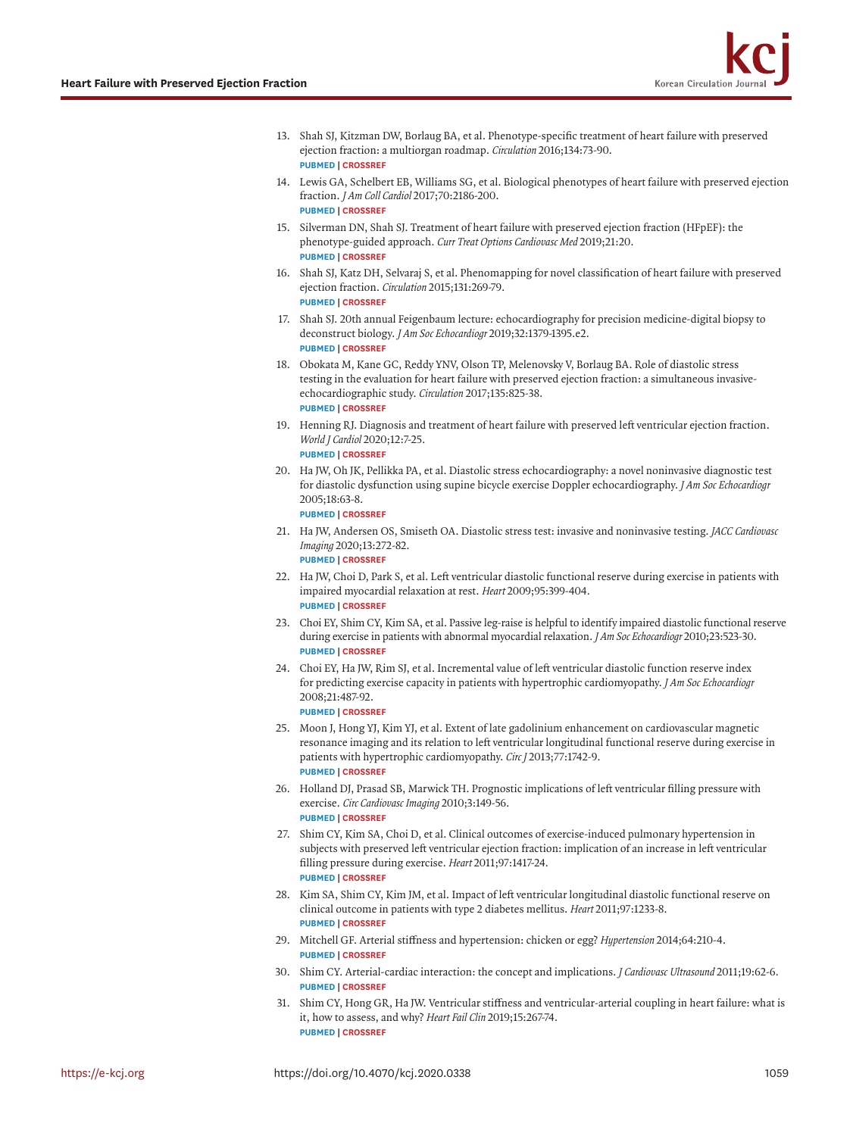- 13. Shah SJ, Kitzman DW, Borlaug BA, et al. Phenotype-specific treatment of heart failure with preserved ejection fraction: a multiorgan roadmap. *Circulation* 2016;134:73-90. **[PUBMED](http://www.ncbi.nlm.nih.gov/pubmed/27358439) | [CROSSREF](https://doi.org/10.1161/CIRCULATIONAHA.116.021884)**
- 14. Lewis GA, Schelbert EB, Williams SG, et al. Biological phenotypes of heart failure with preserved ejection fraction. *J Am Coll Cardiol* 2017;70:2186-200. **[PUBMED](http://www.ncbi.nlm.nih.gov/pubmed/29050567) | [CROSSREF](https://doi.org/10.1016/j.jacc.2017.09.006)**
- <span id="page-8-0"></span>[15.](#page-2-1) Silverman DN, Shah SJ. Treatment of heart failure with preserved ejection fraction (HFpEF): the phenotype-guided approach. *Curr Treat Options Cardiovasc Med* 2019;21:20. **[PUBMED](http://www.ncbi.nlm.nih.gov/pubmed/30982123) | [CROSSREF](https://doi.org/10.1007/s11936-019-0709-4)**
- <span id="page-8-1"></span>[16.](#page-3-3) Shah SJ, Katz DH, Selvaraj S, et al. Phenomapping for novel classification of heart failure with preserved ejection fraction. *Circulation* 2015;131:269-79. **[PUBMED](http://www.ncbi.nlm.nih.gov/pubmed/25398313) | [CROSSREF](https://doi.org/10.1161/CIRCULATIONAHA.114.010637)**
- <span id="page-8-2"></span>[17.](#page-3-3) Shah SJ. 20th annual Feigenbaum lecture: echocardiography for precision medicine-digital biopsy to deconstruct biology. *J Am Soc Echocardiogr* 2019;32:1379-1395.e2. **[PUBMED](http://www.ncbi.nlm.nih.gov/pubmed/31679580) | [CROSSREF](https://doi.org/10.1016/j.echo.2019.08.002)**
- <span id="page-8-3"></span>[18.](#page-4-1) Obokata M, Kane GC, Reddy YNV, Olson TP, Melenovsky V, Borlaug BA. Role of diastolic stress testing in the evaluation for heart failure with preserved ejection fraction: a simultaneous invasiveechocardiographic study. *Circulation* 2017;135:825-38. **[PUBMED](http://www.ncbi.nlm.nih.gov/pubmed/28039229) | [CROSSREF](https://doi.org/10.1161/CIRCULATIONAHA.116.024822)**
- <span id="page-8-5"></span>[19.](#page-4-2) Henning RJ. Diagnosis and treatment of heart failure with preserved left ventricular ejection fraction. *World J Cardiol* 2020;12:7-25. **[PUBMED](http://www.ncbi.nlm.nih.gov/pubmed/31984124) | [CROSSREF](https://doi.org/10.4330/wjc.v12.i1.7)**
- <span id="page-8-4"></span>[20.](#page-4-3) Ha JW, Oh JK, Pellikka PA, et al. Diastolic stress echocardiography: a novel noninvasive diagnostic test for diastolic dysfunction using supine bicycle exercise Doppler echocardiography. *J Am Soc Echocardiogr* 2005;18:63-8. **[PUBMED](http://www.ncbi.nlm.nih.gov/pubmed/15637491) | [CROSSREF](https://doi.org/10.1016/j.echo.2004.08.033)**
- <span id="page-8-6"></span>[21.](#page-4-4) Ha JW, Andersen OS, Smiseth OA. Diastolic stress test: invasive and noninvasive testing. *JACC Cardiovasc Imaging* 2020;13:272-82. **[PUBMED](http://www.ncbi.nlm.nih.gov/pubmed/31202741) | [CROSSREF](https://doi.org/10.1016/j.jcmg.2019.01.037)**
- 22. Ha JW, Choi D, Park S, et al. Left ventricular diastolic functional reserve during exercise in patients with impaired myocardial relaxation at rest. *Heart* 2009;95:399-404. **[PUBMED](http://www.ncbi.nlm.nih.gov/pubmed/18653572) | [CROSSREF](https://doi.org/10.1136/hrt.2008.145441)**
- 23. Choi EY, Shim CY, Kim SA, et al. Passive leg-raise is helpful to identify impaired diastolic functional reserve during exercise in patients with abnormal myocardial relaxation. *J Am Soc Echocardiogr* 2010;23:523-30. **[PUBMED](http://www.ncbi.nlm.nih.gov/pubmed/20226626) | [CROSSREF](https://doi.org/10.1016/j.echo.2010.02.004)**
- 24. Choi EY, Ha JW, Rim SJ, et al. Incremental value of left ventricular diastolic function reserve index for predicting exercise capacity in patients with hypertrophic cardiomyopathy. *J Am Soc Echocardiogr* 2008;21:487-92. **[PUBMED](http://www.ncbi.nlm.nih.gov/pubmed/17904804) | [CROSSREF](https://doi.org/10.1016/j.echo.2007.08.041)**
- <span id="page-8-7"></span>[25.](#page-4-5) Moon J, Hong YJ, Kim YJ, et al. Extent of late gadolinium enhancement on cardiovascular magnetic resonance imaging and its relation to left ventricular longitudinal functional reserve during exercise in patients with hypertrophic cardiomyopathy. *Circ J* 2013;77:1742-9.
- <span id="page-8-8"></span>[26.](#page-4-6) Holland DJ, Prasad SB, Marwick TH. Prognostic implications of left ventricular filling pressure with exercise. *Circ Cardiovasc Imaging* 2010;3:149-56. **[PUBMED](http://www.ncbi.nlm.nih.gov/pubmed/20233862) | [CROSSREF](https://doi.org/10.1161/CIRCIMAGING.109.908152)**
- <span id="page-8-10"></span>[27.](#page-4-7) Shim CY, Kim SA, Choi D, et al. Clinical outcomes of exercise-induced pulmonary hypertension in subjects with preserved left ventricular ejection fraction: implication of an increase in left ventricular filling pressure during exercise. *Heart* 2011;97:1417-24. **[PUBMED](http://www.ncbi.nlm.nih.gov/pubmed/21653218) | [CROSSREF](https://doi.org/10.1136/hrt.2010.220467)**
- <span id="page-8-9"></span>[28.](#page-6-0) Kim SA, Shim CY, Kim JM, et al. Impact of left ventricular longitudinal diastolic functional reserve on clinical outcome in patients with type 2 diabetes mellitus. *Heart* 2011;97:1233-8. **[PUBMED](http://www.ncbi.nlm.nih.gov/pubmed/21653219) | [CROSSREF](https://doi.org/10.1136/hrt.2010.219220)**
- <span id="page-8-11"></span>[29.](#page-5-1) Mitchell GF. Arterial stiffness and hypertension: chicken or egg? *Hypertension* 2014;64:210-4. **[PUBMED](http://www.ncbi.nlm.nih.gov/pubmed/24799614) | [CROSSREF](https://doi.org/10.1161/HYPERTENSIONAHA.114.03449)**
- <span id="page-8-12"></span>[30.](#page-5-2) Shim CY. Arterial-cardiac interaction: the concept and implications. *J Cardiovasc Ultrasound* 2011;19:62-6. **[PUBMED](http://www.ncbi.nlm.nih.gov/pubmed/21860718) | [CROSSREF](https://doi.org/10.4250/jcu.2011.19.2.62)**
- <span id="page-8-13"></span>[31.](#page-5-2) Shim CY, Hong GR, Ha JW. Ventricular stiffness and ventricular-arterial coupling in heart failure: what is it, how to assess, and why? *Heart Fail Clin* 2019;15:267-74. **[PUBMED](http://www.ncbi.nlm.nih.gov/pubmed/30832817) | [CROSSREF](https://doi.org/10.1016/j.hfc.2018.12.006)**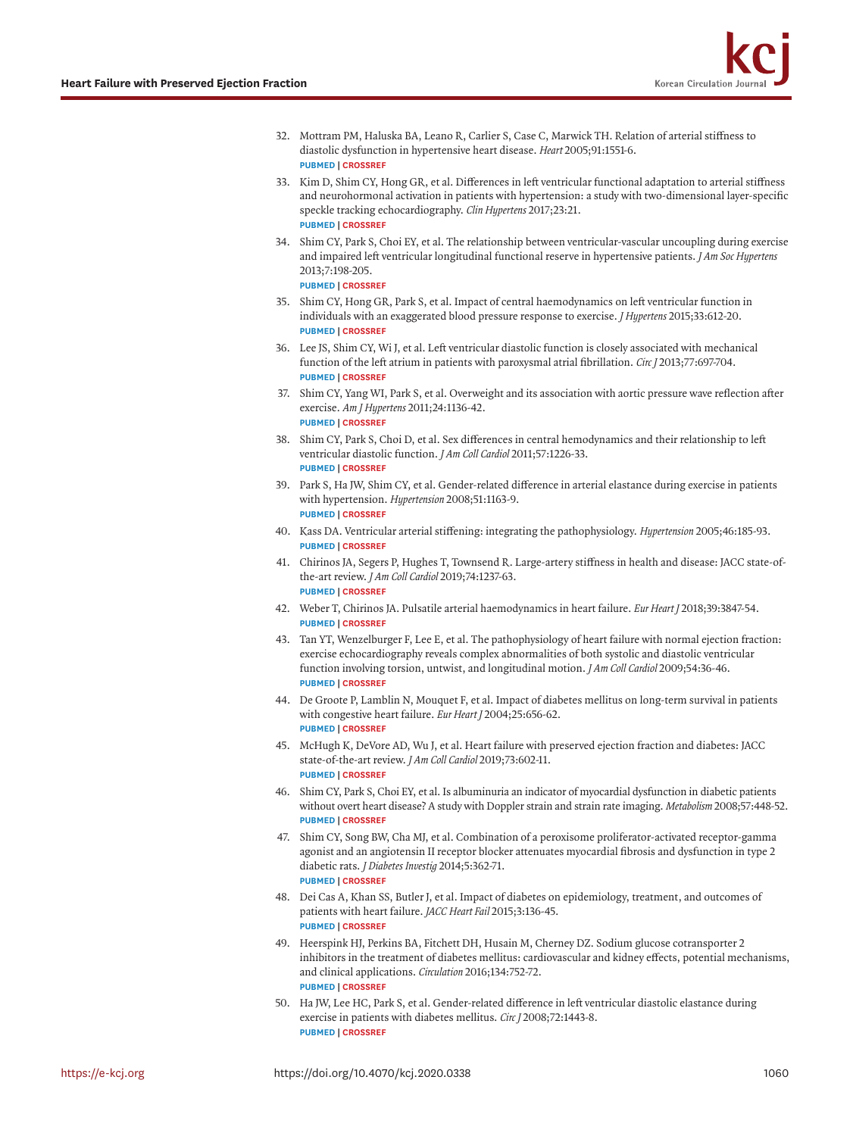- <span id="page-9-0"></span>[32.](#page-5-3) Mottram PM, Haluska BA, Leano R, Carlier S, Case C, Marwick TH. Relation of arterial stiffness to diastolic dysfunction in hypertensive heart disease. *Heart* 2005;91:1551-6. **[PUBMED](http://www.ncbi.nlm.nih.gov/pubmed/16287739) | [CROSSREF](https://doi.org/10.1136/hrt.2004.046805)**
- <span id="page-9-1"></span>[33.](#page-5-4) Kim D, Shim CY, Hong GR, et al. Differences in left ventricular functional adaptation to arterial stiffness and neurohormonal activation in patients with hypertension: a study with two-dimensional layer-specific speckle tracking echocardiography. *Clin Hypertens* 2017;23:21. **[PUBMED](http://www.ncbi.nlm.nih.gov/pubmed/29119005) | [CROSSREF](https://doi.org/10.1186/s40885-017-0078-9)**
- 34. Shim CY, Park S, Choi EY, et al. The relationship between ventricular-vascular uncoupling during exercise and impaired left ventricular longitudinal functional reserve in hypertensive patients. *J Am Soc Hypertens* 2013;7:198-205.

- 35. Shim CY, Hong GR, Park S, et al. Impact of central haemodynamics on left ventricular function in individuals with an exaggerated blood pressure response to exercise. *J Hypertens* 2015;33:612-20. **[PUBMED](http://www.ncbi.nlm.nih.gov/pubmed/25479033) | [CROSSREF](https://doi.org/10.1097/HJH.0000000000000431)**
- 36. Lee JS, Shim CY, Wi J, et al. Left ventricular diastolic function is closely associated with mechanical function of the left atrium in patients with paroxysmal atrial fibrillation. *Circ J* 2013;77:697-704. **[PUBMED](http://www.ncbi.nlm.nih.gov/pubmed/23196755) | [CROSSREF](https://doi.org/10.1253/circj.CJ-12-1009)**
- <span id="page-9-13"></span>[37.](#page-6-1) Shim CY, Yang WI, Park S, et al. Overweight and its association with aortic pressure wave reflection after exercise. *Am J Hypertens* 2011;24:1136-42. **[PUBMED](http://www.ncbi.nlm.nih.gov/pubmed/21833042) | [CROSSREF](https://doi.org/10.1038/ajh.2011.121)**
- <span id="page-9-2"></span>[38.](#page-5-5) Shim CY, Park S, Choi D, et al. Sex differences in central hemodynamics and their relationship to left ventricular diastolic function. *J Am Coll Cardiol* 2011;57:1226-33. **[PUBMED](http://www.ncbi.nlm.nih.gov/pubmed/21371640) | [CROSSREF](https://doi.org/10.1016/j.jacc.2010.09.067)**
- <span id="page-9-3"></span>[39.](#page-5-6) Park S, Ha JW, Shim CY, et al. Gender-related difference in arterial elastance during exercise in patients with hypertension. *Hypertension* 2008;51:1163-9. **[PUBMED](http://www.ncbi.nlm.nih.gov/pubmed/18259019) | [CROSSREF](https://doi.org/10.1161/HYPERTENSIONAHA.107.106690)**
- <span id="page-9-4"></span>[40.](#page-5-7) Kass DA. Ventricular arterial stiffening: integrating the pathophysiology. *Hypertension* 2005;46:185-93. **[PUBMED](http://www.ncbi.nlm.nih.gov/pubmed/15911741) | [CROSSREF](https://doi.org/10.1161/01.HYP.0000168053.34306.d4)**
- 41. Chirinos JA, Segers P, Hughes T, Townsend R. Large-artery stiffness in health and disease: JACC state-ofthe-art review. *J Am Coll Cardiol* 2019;74:1237-63. **[PUBMED](http://www.ncbi.nlm.nih.gov/pubmed/31466622) | [CROSSREF](https://doi.org/10.1016/j.jacc.2019.07.012)**
- 42. Weber T, Chirinos JA. Pulsatile arterial haemodynamics in heart failure. *Eur Heart J* 2018;39:3847-54. **[PUBMED](http://www.ncbi.nlm.nih.gov/pubmed/29947746) | [CROSSREF](https://doi.org/10.1093/eurheartj/ehy346)**
- <span id="page-9-5"></span>[43.](#page-5-7) Tan YT, Wenzelburger F, Lee E, et al. The pathophysiology of heart failure with normal ejection fraction: exercise echocardiography reveals complex abnormalities of both systolic and diastolic ventricular function involving torsion, untwist, and longitudinal motion. *J Am Coll Cardiol* 2009;54:36-46. **[PUBMED](http://www.ncbi.nlm.nih.gov/pubmed/19555838) | [CROSSREF](https://doi.org/10.1016/j.jacc.2009.03.037)**
- <span id="page-9-6"></span>[44.](#page-6-2) De Groote P, Lamblin N, Mouquet F, et al. Impact of diabetes mellitus on long-term survival in patients with congestive heart failure. *Eur Heart J* 2004;25:656-62. **[PUBMED](http://www.ncbi.nlm.nih.gov/pubmed/15084370) | [CROSSREF](https://doi.org/10.1016/j.ehj.2004.01.010)**
- <span id="page-9-7"></span>[45.](#page-6-3) McHugh K, DeVore AD, Wu J, et al. Heart failure with preserved ejection fraction and diabetes: JACC state-of-the-art review. *J Am Coll Cardiol* 2019;73:602-11. **[PUBMED](http://www.ncbi.nlm.nih.gov/pubmed/30732715) | [CROSSREF](https://doi.org/10.1016/j.jacc.2018.11.033)**
- <span id="page-9-8"></span>[46.](#page-6-4) Shim CY, Park S, Choi EY, et al. Is albuminuria an indicator of myocardial dysfunction in diabetic patients without overt heart disease? A study with Doppler strain and strain rate imaging. *Metabolism* 2008;57:448-52. **[PUBMED](http://www.ncbi.nlm.nih.gov/pubmed/18328343) | [CROSSREF](https://doi.org/10.1016/j.metabol.2007.11.003)**
- <span id="page-9-9"></span>[47.](#page-6-4) Shim CY, Song BW, Cha MJ, et al. Combination of a peroxisome proliferator-activated receptor-gamma agonist and an angiotensin II receptor blocker attenuates myocardial fibrosis and dysfunction in type 2 diabetic rats. *J Diabetes Investig* 2014;5:362-71. **[PUBMED](http://www.ncbi.nlm.nih.gov/pubmed/25411595) | [CROSSREF](https://doi.org/10.1111/jdi.12153)**
- <span id="page-9-10"></span>[48.](#page-6-5) Dei Cas A, Khan SS, Butler J, et al. Impact of diabetes on epidemiology, treatment, and outcomes of patients with heart failure. *JACC Heart Fail* 2015;3:136-45. **[PUBMED](http://www.ncbi.nlm.nih.gov/pubmed/25660838) | [CROSSREF](https://doi.org/10.1016/j.jchf.2014.08.004)**
- <span id="page-9-11"></span>[49.](#page-6-6) Heerspink HJ, Perkins BA, Fitchett DH, Husain M, Cherney DZ. Sodium glucose cotransporter 2 inhibitors in the treatment of diabetes mellitus: cardiovascular and kidney effects, potential mechanisms, and clinical applications. *Circulation* 2016;134:752-72. **[PUBMED](http://www.ncbi.nlm.nih.gov/pubmed/27470878) | [CROSSREF](https://doi.org/10.1161/CIRCULATIONAHA.116.021887)**
- <span id="page-9-12"></span>[50.](#page-6-7) Ha JW, Lee HC, Park S, et al. Gender-related difference in left ventricular diastolic elastance during exercise in patients with diabetes mellitus. *Circ J* 2008;72:1443-8. **[PUBMED](http://www.ncbi.nlm.nih.gov/pubmed/18724019) | [CROSSREF](https://doi.org/10.1253/circj.CJ-07-1028)**